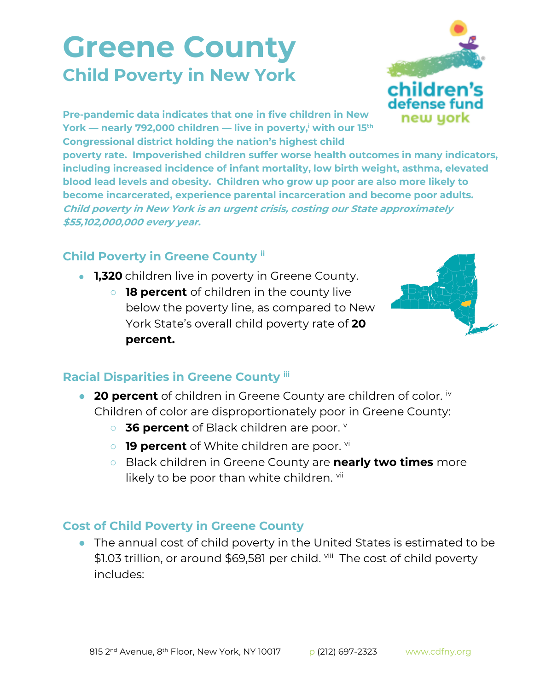## **Greene County Child Poverty in New York**



**Pre-pandemic data indicates that one in five children in New York — nearly 792,000 children — live in poverty,<sup>i</sup> with our 15th Congressional district holding the nation's highest child** 

**poverty rate. Impoverished children suffer worse health outcomes in many indicators, including increased incidence of infant mortality, low birth weight, asthma, elevated blood lead levels and obesity. Children who grow up poor are also more likely to become incarcerated, experience parental incarceration and become poor adults. Child poverty in New York is an urgent crisis, costing our State approximately \$55,102,000,000 every year.**

## **Child Poverty in Greene County ii**

- **1,320** children live in poverty in Greene County.
	- **18 percent** of children in the county live below the poverty line, as compared to New York State's overall child poverty rate of **20 percent.**



## **Racial Disparities in Greene County iii**

- **20 percent** of children in Greene County are children of color. <sup>iv</sup> Children of color are disproportionately poor in Greene County:
	- o **36 percent** of Black children are poor. v
	- **19 percent** of White children are poor. <sup>vi</sup>
	- Black children in Greene County are **nearly two times** more likely to be poor than white children. vii

## **Cost of Child Poverty in Greene County**

● The annual cost of child poverty in the United States is estimated to be \$1.03 trillion, or around \$69,581 per child. viii The cost of child poverty includes: